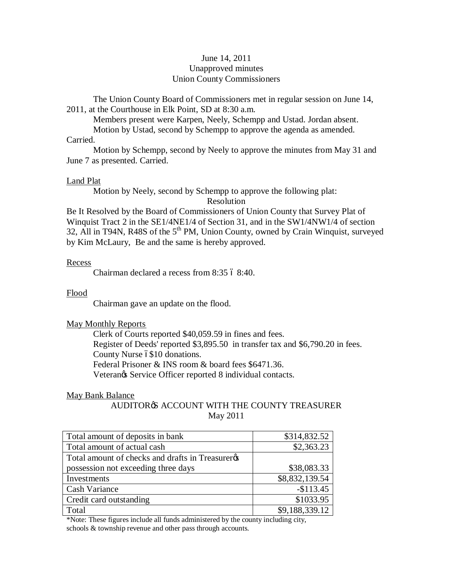### June 14, 2011 Unapproved minutes Union County Commissioners

The Union County Board of Commissioners met in regular session on June 14, 2011, at the Courthouse in Elk Point, SD at 8:30 a.m.

Members present were Karpen, Neely, Schempp and Ustad. Jordan absent.

Motion by Ustad, second by Schempp to approve the agenda as amended.

Carried.

Motion by Schempp, second by Neely to approve the minutes from May 31 and June 7 as presented. Carried.

## Land Plat

Motion by Neely, second by Schempp to approve the following plat:

Resolution

Be It Resolved by the Board of Commissioners of Union County that Survey Plat of Winquist Tract 2 in the SE1/4NE1/4 of Section 31, and in the SW1/4NW1/4 of section 32, All in T94N, R48S of the  $5<sup>th</sup>$  PM, Union County, owned by Crain Winquist, surveyed by Kim McLaury, Be and the same is hereby approved.

## Recess

Chairman declared a recess from 8:35  $68:40$ .

## Flood

Chairman gave an update on the flood.

# May Monthly Reports

Clerk of Courts reported \$40,059.59 in fines and fees. Register of Deeds' reported \$3,895.50 in transfer tax and \$6,790.20 in fees. County Nurse 6\$10 donations. Federal Prisoner & INS room & board fees \$6471.36. Veterangs Service Officer reported 8 individual contacts.

### May Bank Balance

# AUDITOR<sup>®</sup> ACCOUNT WITH THE COUNTY TREASURER May 2011

| Total amount of deposits in bank                 | \$314,832.52   |
|--------------------------------------------------|----------------|
| Total amount of actual cash                      | \$2,363.23     |
| Total amount of checks and drafts in Treasurerøs |                |
| possession not exceeding three days              | \$38,083.33    |
| Investments                                      | \$8,832,139.54 |
| <b>Cash Variance</b>                             | $-$113.45$     |
| Credit card outstanding                          | \$1033.95      |
| Total                                            | \$9,188,339.12 |

\*Note: These figures include all funds administered by the county including city, schools & township revenue and other pass through accounts.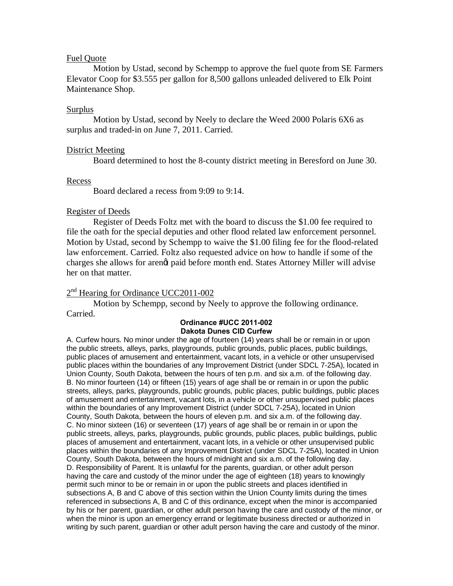### Fuel Quote

Motion by Ustad, second by Schempp to approve the fuel quote from SE Farmers Elevator Coop for \$3.555 per gallon for 8,500 gallons unleaded delivered to Elk Point Maintenance Shop.

#### Surplus

Motion by Ustad, second by Neely to declare the Weed 2000 Polaris 6X6 as surplus and traded-in on June 7, 2011. Carried.

#### District Meeting

Board determined to host the 8-county district meeting in Beresford on June 30.

#### Recess

Board declared a recess from 9:09 to 9:14.

#### Register of Deeds

Register of Deeds Foltz met with the board to discuss the \$1.00 fee required to file the oath for the special deputies and other flood related law enforcement personnel. Motion by Ustad, second by Schempp to waive the \$1.00 filing fee for the flood-related law enforcement. Carried. Foltz also requested advice on how to handle if some of the charges she allows for arenot paid before month end. States Attorney Miller will advise her on that matter.

### $2<sup>nd</sup>$  Hearing for Ordinance UCC2011-002

Motion by Schempp, second by Neely to approve the following ordinance. Carried.

#### **Ordinance #UCC 2011-002 Dakota Dunes CID Curfew**

A. Curfew hours. No minor under the age of fourteen (14) years shall be or remain in or upon the public streets, alleys, parks, playgrounds, public grounds, public places, public buildings, public places of amusement and entertainment, vacant lots, in a vehicle or other unsupervised public places within the boundaries of any Improvement District (under SDCL 7-25A), located in Union County, South Dakota, between the hours of ten p.m. and six a.m. of the following day. B. No minor fourteen (14) or fifteen (15) years of age shall be or remain in or upon the public streets, alleys, parks, playgrounds, public grounds, public places, public buildings, public places of amusement and entertainment, vacant lots, in a vehicle or other unsupervised public places within the boundaries of any Improvement District (under SDCL 7-25A), located in Union County, South Dakota, between the hours of eleven p.m. and six a.m. of the following day. C. No minor sixteen (16) or seventeen (17) years of age shall be or remain in or upon the public streets, alleys, parks, playgrounds, public grounds, public places, public buildings, public places of amusement and entertainment, vacant lots, in a vehicle or other unsupervised public places within the boundaries of any Improvement District (under SDCL 7-25A), located in Union County, South Dakota, between the hours of midnight and six a.m. of the following day. D. Responsibility of Parent. It is unlawful for the parents, guardian, or other adult person having the care and custody of the minor under the age of eighteen (18) years to knowingly permit such minor to be or remain in or upon the public streets and places identified in subsections A, B and C above of this section within the Union County limits during the times referenced in subsections A, B and C of this ordinance, except when the minor is accompanied by his or her parent, guardian, or other adult person having the care and custody of the minor, or when the minor is upon an emergency errand or legitimate business directed or authorized in writing by such parent, guardian or other adult person having the care and custody of the minor.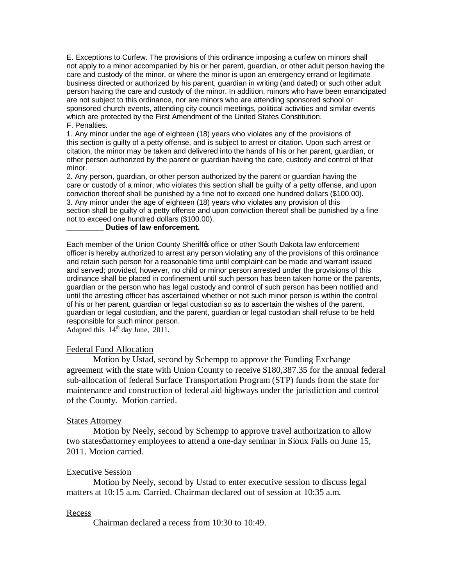E. Exceptions to Curfew. The provisions of this ordinance imposing a curfew on minors shall not apply to a minor accompanied by his or her parent, guardian, or other adult person having the care and custody of the minor, or where the minor is upon an emergency errand or legitimate business directed or authorized by his parent, guardian in writing (and dated) or such other adult person having the care and custody of the minor. In addition, minors who have been emancipated are not subject to this ordinance, nor are minors who are attending sponsored school or sponsored church events, attending city council meetings, political activities and similar events which are protected by the First Amendment of the United States Constitution. F. Penalties.

1. Any minor under the age of eighteen (18) years who violates any of the provisions of this section is guilty of a petty offense, and is subject to arrest or citation. Upon such arrest or citation, the minor may be taken and delivered into the hands of his or her parent, guardian, or other person authorized by the parent or guardian having the care, custody and control of that minor.

2. Any person, guardian, or other person authorized by the parent or guardian having the care or custody of a minor, who violates this section shall be guilty of a petty offense, and upon conviction thereof shall be punished by a fine not to exceed one hundred dollars (\$100.00). 3. Any minor under the age of eighteen (18) years who violates any provision of this section shall be guilty of a petty offense and upon conviction thereof shall be punished by a fine not to exceed one hundred dollars (\$100.00).

### **\_\_\_\_\_\_\_\_\_ Duties of law enforcement.**

Each member of the Union County Sheriffos office or other South Dakota law enforcement officer is hereby authorized to arrest any person violating any of the provisions of this ordinance and retain such person for a reasonable time until complaint can be made and warrant issued and served; provided, however, no child or minor person arrested under the provisions of this ordinance shall be placed in confinement until such person has been taken home or the parents, guardian or the person who has legal custody and control of such person has been notified and until the arresting officer has ascertained whether or not such minor person is within the control of his or her parent, guardian or legal custodian so as to ascertain the wishes of the parent, guardian or legal custodian, and the parent, guardian or legal custodian shall refuse to be held responsible for such minor person.

Adopted this  $14<sup>th</sup>$  day June, 2011.

#### Federal Fund Allocation

Motion by Ustad, second by Schempp to approve the Funding Exchange agreement with the state with Union County to receive \$180,387.35 for the annual federal sub-allocation of federal Surface Transportation Program (STP) funds from the state for maintenance and construction of federal aid highways under the jurisdiction and control of the County. Motion carried.

#### States Attorney

Motion by Neely, second by Schempp to approve travel authorization to allow two statesø attorney employees to attend a one-day seminar in Sioux Falls on June 15, 2011. Motion carried.

#### Executive Session

Motion by Neely, second by Ustad to enter executive session to discuss legal matters at 10:15 a.m. Carried. Chairman declared out of session at 10:35 a.m.

#### Recess

Chairman declared a recess from 10:30 to 10:49.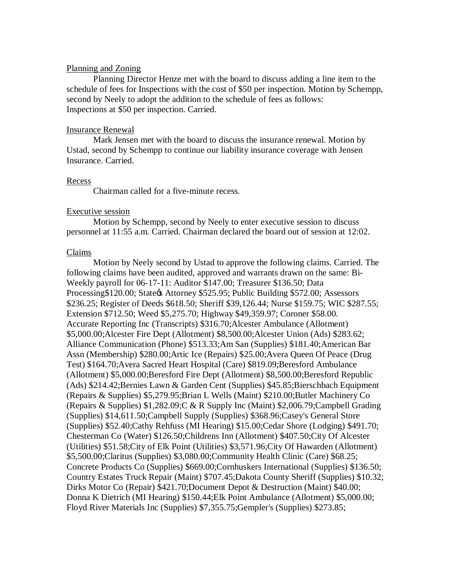#### Planning and Zoning

Planning Director Henze met with the board to discuss adding a line item to the schedule of fees for Inspections with the cost of \$50 per inspection. Motion by Schempp, second by Neely to adopt the addition to the schedule of fees as follows: Inspections at \$50 per inspection. Carried.

### Insurance Renewal

Mark Jensen met with the board to discuss the insurance renewal. Motion by Ustad, second by Schempp to continue our liability insurance coverage with Jensen Insurance. Carried.

#### Recess

Chairman called for a five-minute recess.

#### Executive session

Motion by Schempp, second by Neely to enter executive session to discuss personnel at 11:55 a.m. Carried. Chairman declared the board out of session at 12:02.

#### Claims

Motion by Neely second by Ustad to approve the following claims. Carried. The following claims have been audited, approved and warrants drawn on the same: Bi-Weekly payroll for 06-17-11: Auditor \$147.00; Treasurer \$136.50; Data Processing\$120.00; State & Attorney \$525.95; Public Building \$572.00; Assessors \$236.25; Register of Deeds \$618.50; Sheriff \$39,126.44; Nurse \$159.75; WIC \$287.55; Extension \$712.50; Weed \$5,275.70; Highway \$49,359.97; Coroner \$58.00. Accurate Reporting Inc (Transcripts) \$316.70;Alcester Ambulance (Allotment) \$5,000.00;Alcester Fire Dept (Allotment) \$8,500.00;Alcester Union (Ads) \$283.62; Alliance Communication (Phone) \$513.33;Am San (Supplies) \$181.40;American Bar Assn (Membership) \$280.00;Artic Ice (Repairs) \$25.00;Avera Queen Of Peace (Drug Test) \$164.70;Avera Sacred Heart Hospital (Care) \$819.09;Beresford Ambulance (Allotment) \$5,000.00;Beresford Fire Dept (Allotment) \$8,500.00;Beresford Republic (Ads) \$214.42;Bernies Lawn & Garden Cent (Supplies) \$45.85;Bierschbach Equipment (Repairs & Supplies) \$5,279.95;Brian L Wells (Maint) \$210.00;Butler Machinery Co (Repairs & Supplies) \$1,282.09;C & R Supply Inc (Maint) \$2,006.79;Campbell Grading (Supplies) \$14,611.50;Campbell Supply (Supplies) \$368.96;Casey's General Store (Supplies) \$52.40;Cathy Rehfuss (MI Hearing) \$15.00;Cedar Shore (Lodging) \$491.70; Chesterman Co (Water) \$126.50;Childrens Inn (Allotment) \$407.50;City Of Alcester (Utilities) \$51.58;City of Elk Point (Utilities) \$3,571.96;City Of Hawarden (Allotment) \$5,500.00;Claritus (Supplies) \$3,080.00;Community Health Clinic (Care) \$68.25; Concrete Products Co (Supplies) \$669.00;Cornhuskers International (Supplies) \$136.50; Country Estates Truck Repair (Maint) \$707.45;Dakota County Sheriff (Supplies) \$10.32; Dirks Motor Co (Repair) \$421.70;Document Depot & Destruction (Maint) \$40.00; Donna K Dietrich (MI Hearing) \$150.44;Elk Point Ambulance (Allotment) \$5,000.00; Floyd River Materials Inc (Supplies) \$7,355.75;Gempler's (Supplies) \$273.85;